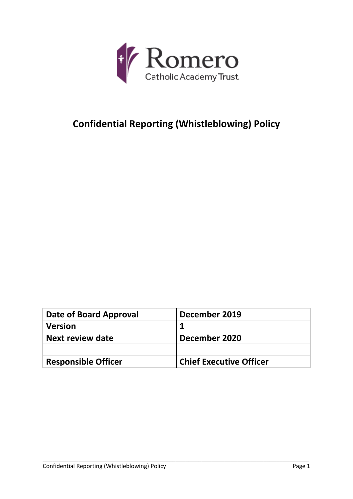

# **Confidential Reporting (Whistleblowing) Policy**

| Date of Board Approval     | December 2019                  |
|----------------------------|--------------------------------|
| <b>Version</b>             |                                |
| Next review date           | December 2020                  |
|                            |                                |
| <b>Responsible Officer</b> | <b>Chief Executive Officer</b> |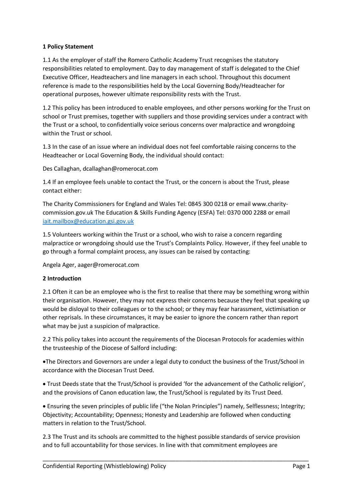## **1 Policy Statement**

1.1 As the employer of staff the Romero Catholic Academy Trust recognises the statutory responsibilities related to employment. Day to day management of staff is delegated to the Chief Executive Officer, Headteachers and line managers in each school. Throughout this document reference is made to the responsibilities held by the Local Governing Body/Headteacher for operational purposes, however ultimate responsibility rests with the Trust.

1.2 This policy has been introduced to enable employees, and other persons working for the Trust on school or Trust premises, together with suppliers and those providing services under a contract with the Trust or a school, to confidentially voice serious concerns over malpractice and wrongdoing within the Trust or school.

1.3 In the case of an issue where an individual does not feel comfortable raising concerns to the Headteacher or Local Governing Body, the individual should contact:

Des Callaghan, dcallaghan@romerocat.com

1.4 If an employee feels unable to contact the Trust, or the concern is about the Trust, please contact either:

The Charity Commissioners for England and Wales Tel: 0845 300 0218 or email www.charitycommission.gov.uk The Education & Skills Funding Agency (ESFA) Tel: 0370 000 2288 or email [iait.mailbox@education.gsi.gov.uk](mailto:iait.mailbox@education.gsi.gov.uk)

1.5 Volunteers working within the Trust or a school, who wish to raise a concern regarding malpractice or wrongdoing should use the Trust's Complaints Policy. However, if they feel unable to go through a formal complaint process, any issues can be raised by contacting:

Angela Ager, aager@romerocat.com

## **2 Introduction**

2.1 Often it can be an employee who is the first to realise that there may be something wrong within their organisation. However, they may not express their concerns because they feel that speaking up would be disloyal to their colleagues or to the school; or they may fear harassment, victimisation or other reprisals. In these circumstances, it may be easier to ignore the concern rather than report what may be just a suspicion of malpractice.

2.2 This policy takes into account the requirements of the Diocesan Protocols for academies within the trusteeship of the Diocese of Salford including:

The Directors and Governors are under a legal duty to conduct the business of the Trust/School in accordance with the Diocesan Trust Deed.

 Trust Deeds state that the Trust/School is provided 'for the advancement of the Catholic religion', and the provisions of Canon education law, the Trust/School is regulated by its Trust Deed.

 Ensuring the seven principles of public life ("the Nolan Principles") namely, Selflessness; Integrity; Objectivity; Accountability; Openness; Honesty and Leadership are followed when conducting matters in relation to the Trust/School.

2.3 The Trust and its schools are committed to the highest possible standards of service provision and to full accountability for those services. In line with that commitment employees are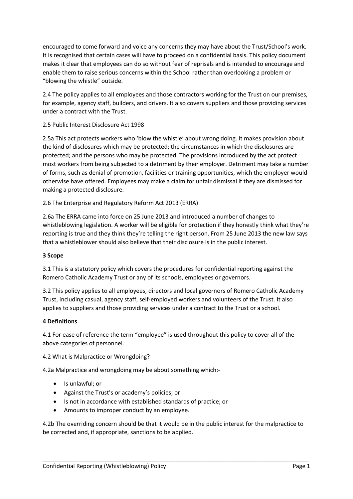encouraged to come forward and voice any concerns they may have about the Trust/School's work. It is recognised that certain cases will have to proceed on a confidential basis. This policy document makes it clear that employees can do so without fear of reprisals and is intended to encourage and enable them to raise serious concerns within the School rather than overlooking a problem or "blowing the whistle" outside.

2.4 The policy applies to all employees and those contractors working for the Trust on our premises, for example, agency staff, builders, and drivers. It also covers suppliers and those providing services under a contract with the Trust.

# 2.5 Public Interest Disclosure Act 1998

2.5a This act protects workers who 'blow the whistle' about wrong doing. It makes provision about the kind of disclosures which may be protected; the circumstances in which the disclosures are protected; and the persons who may be protected. The provisions introduced by the act protect most workers from being subjected to a detriment by their employer. Detriment may take a number of forms, such as denial of promotion, facilities or training opportunities, which the employer would otherwise have offered. Employees may make a claim for unfair dismissal if they are dismissed for making a protected disclosure.

# 2.6 The Enterprise and Regulatory Reform Act 2013 (ERRA)

2.6a The ERRA came into force on 25 June 2013 and introduced a number of changes to whistleblowing legislation. A worker will be eligible for protection if they honestly think what they're reporting is true and they think they're telling the right person. From 25 June 2013 the new law says that a whistleblower should also believe that their disclosure is in the public interest.

## **3 Scope**

3.1 This is a statutory policy which covers the procedures for confidential reporting against the Romero Catholic Academy Trust or any of its schools, employees or governors.

3.2 This policy applies to all employees, directors and local governors of Romero Catholic Academy Trust, including casual, agency staff, self-employed workers and volunteers of the Trust. It also applies to suppliers and those providing services under a contract to the Trust or a school.

## **4 Definitions**

4.1 For ease of reference the term "employee" is used throughout this policy to cover all of the above categories of personnel.

## 4.2 What is Malpractice or Wrongdoing?

4.2a Malpractice and wrongdoing may be about something which:-

- Is unlawful; or
- Against the Trust's or academy's policies; or
- Is not in accordance with established standards of practice; or
- Amounts to improper conduct by an employee.

4.2b The overriding concern should be that it would be in the public interest for the malpractice to be corrected and, if appropriate, sanctions to be applied.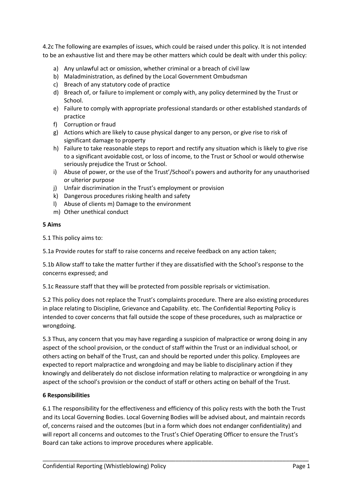4.2c The following are examples of issues, which could be raised under this policy. It is not intended to be an exhaustive list and there may be other matters which could be dealt with under this policy:

- a) Any unlawful act or omission, whether criminal or a breach of civil law
- b) Maladministration, as defined by the Local Government Ombudsman
- c) Breach of any statutory code of practice
- d) Breach of, or failure to implement or comply with, any policy determined by the Trust or School.
- e) Failure to comply with appropriate professional standards or other established standards of practice
- f) Corruption or fraud
- g) Actions which are likely to cause physical danger to any person, or give rise to risk of significant damage to property
- h) Failure to take reasonable steps to report and rectify any situation which is likely to give rise to a significant avoidable cost, or loss of income, to the Trust or School or would otherwise seriously prejudice the Trust or School.
- i) Abuse of power, or the use of the Trust'/School's powers and authority for any unauthorised or ulterior purpose
- j) Unfair discrimination in the Trust's employment or provision
- k) Dangerous procedures risking health and safety
- l) Abuse of clients m) Damage to the environment
- m) Other unethical conduct

## **5 Aims**

5.1 This policy aims to:

5.1a Provide routes for staff to raise concerns and receive feedback on any action taken;

5.1b Allow staff to take the matter further if they are dissatisfied with the School's response to the concerns expressed; and

5.1c Reassure staff that they will be protected from possible reprisals or victimisation.

5.2 This policy does not replace the Trust's complaints procedure. There are also existing procedures in place relating to Discipline, Grievance and Capability. etc. The Confidential Reporting Policy is intended to cover concerns that fall outside the scope of these procedures, such as malpractice or wrongdoing.

5.3 Thus, any concern that you may have regarding a suspicion of malpractice or wrong doing in any aspect of the school provision, or the conduct of staff within the Trust or an individual school, or others acting on behalf of the Trust, can and should be reported under this policy. Employees are expected to report malpractice and wrongdoing and may be liable to disciplinary action if they knowingly and deliberately do not disclose information relating to malpractice or wrongdoing in any aspect of the school's provision or the conduct of staff or others acting on behalf of the Trust.

## **6 Responsibilities**

6.1 The responsibility for the effectiveness and efficiency of this policy rests with the both the Trust and its Local Governing Bodies. Local Governing Bodies will be advised about, and maintain records of, concerns raised and the outcomes (but in a form which does not endanger confidentiality) and will report all concerns and outcomes to the Trust's Chief Operating Officer to ensure the Trust's Board can take actions to improve procedures where applicable.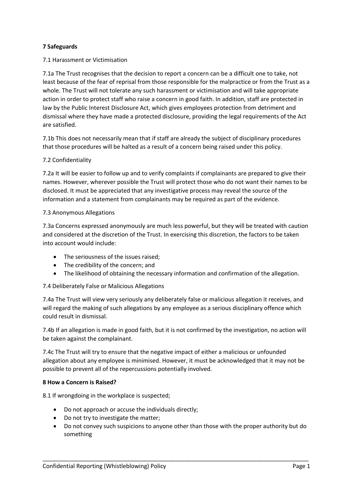## **7 Safeguards**

## 7.1 Harassment or Victimisation

7.1a The Trust recognises that the decision to report a concern can be a difficult one to take, not least because of the fear of reprisal from those responsible for the malpractice or from the Trust as a whole. The Trust will not tolerate any such harassment or victimisation and will take appropriate action in order to protect staff who raise a concern in good faith. In addition, staff are protected in law by the Public Interest Disclosure Act, which gives employees protection from detriment and dismissal where they have made a protected disclosure, providing the legal requirements of the Act are satisfied.

7.1b This does not necessarily mean that if staff are already the subject of disciplinary procedures that those procedures will be halted as a result of a concern being raised under this policy.

## 7.2 Confidentiality

7.2a It will be easier to follow up and to verify complaints if complainants are prepared to give their names. However, wherever possible the Trust will protect those who do not want their names to be disclosed. It must be appreciated that any investigative process may reveal the source of the information and a statement from complainants may be required as part of the evidence.

## 7.3 Anonymous Allegations

7.3a Concerns expressed anonymously are much less powerful, but they will be treated with caution and considered at the discretion of the Trust. In exercising this discretion, the factors to be taken into account would include:

- The seriousness of the issues raised;
- The credibility of the concern; and
- The likelihood of obtaining the necessary information and confirmation of the allegation.

## 7.4 Deliberately False or Malicious Allegations

7.4a The Trust will view very seriously any deliberately false or malicious allegation it receives, and will regard the making of such allegations by any employee as a serious disciplinary offence which could result in dismissal.

7.4b If an allegation is made in good faith, but it is not confirmed by the investigation, no action will be taken against the complainant.

7.4c The Trust will try to ensure that the negative impact of either a malicious or unfounded allegation about any employee is minimised. However, it must be acknowledged that it may not be possible to prevent all of the repercussions potentially involved.

## **8 How a Concern is Raised?**

8.1 If wrongdoing in the workplace is suspected;

- Do not approach or accuse the individuals directly;
- Do not try to investigate the matter;
- Do not convey such suspicions to anyone other than those with the proper authority but do something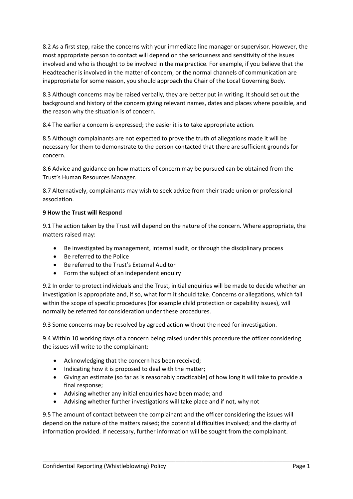8.2 As a first step, raise the concerns with your immediate line manager or supervisor. However, the most appropriate person to contact will depend on the seriousness and sensitivity of the issues involved and who is thought to be involved in the malpractice. For example, if you believe that the Headteacher is involved in the matter of concern, or the normal channels of communication are inappropriate for some reason, you should approach the Chair of the Local Governing Body.

8.3 Although concerns may be raised verbally, they are better put in writing. It should set out the background and history of the concern giving relevant names, dates and places where possible, and the reason why the situation is of concern.

8.4 The earlier a concern is expressed; the easier it is to take appropriate action.

8.5 Although complainants are not expected to prove the truth of allegations made it will be necessary for them to demonstrate to the person contacted that there are sufficient grounds for concern.

8.6 Advice and guidance on how matters of concern may be pursued can be obtained from the Trust's Human Resources Manager.

8.7 Alternatively, complainants may wish to seek advice from their trade union or professional association.

# **9 How the Trust will Respond**

9.1 The action taken by the Trust will depend on the nature of the concern. Where appropriate, the matters raised may:

- Be investigated by management, internal audit, or through the disciplinary process
- Be referred to the Police
- Be referred to the Trust's External Auditor
- Form the subject of an independent enquiry

9.2 In order to protect individuals and the Trust, initial enquiries will be made to decide whether an investigation is appropriate and, if so, what form it should take. Concerns or allegations, which fall within the scope of specific procedures (for example child protection or capability issues), will normally be referred for consideration under these procedures.

9.3 Some concerns may be resolved by agreed action without the need for investigation.

9.4 Within 10 working days of a concern being raised under this procedure the officer considering the issues will write to the complainant:

- Acknowledging that the concern has been received;
- $\bullet$  Indicating how it is proposed to deal with the matter;
- Giving an estimate (so far as is reasonably practicable) of how long it will take to provide a final response;
- Advising whether any initial enquiries have been made; and
- Advising whether further investigations will take place and if not, why not

9.5 The amount of contact between the complainant and the officer considering the issues will depend on the nature of the matters raised; the potential difficulties involved; and the clarity of information provided. If necessary, further information will be sought from the complainant.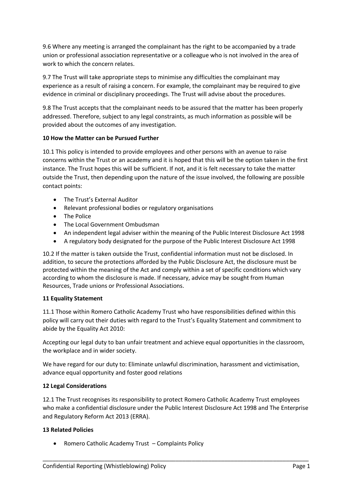9.6 Where any meeting is arranged the complainant has the right to be accompanied by a trade union or professional association representative or a colleague who is not involved in the area of work to which the concern relates.

9.7 The Trust will take appropriate steps to minimise any difficulties the complainant may experience as a result of raising a concern. For example, the complainant may be required to give evidence in criminal or disciplinary proceedings. The Trust will advise about the procedures.

9.8 The Trust accepts that the complainant needs to be assured that the matter has been properly addressed. Therefore, subject to any legal constraints, as much information as possible will be provided about the outcomes of any investigation.

## **10 How the Matter can be Pursued Further**

10.1 This policy is intended to provide employees and other persons with an avenue to raise concerns within the Trust or an academy and it is hoped that this will be the option taken in the first instance. The Trust hopes this will be sufficient. If not, and it is felt necessary to take the matter outside the Trust, then depending upon the nature of the issue involved, the following are possible contact points:

- The Trust's External Auditor
- Relevant professional bodies or regulatory organisations
- The Police
- The Local Government Ombudsman
- An independent legal adviser within the meaning of the Public Interest Disclosure Act 1998
- A regulatory body designated for the purpose of the Public Interest Disclosure Act 1998

10.2 If the matter is taken outside the Trust, confidential information must not be disclosed. In addition, to secure the protections afforded by the Public Disclosure Act, the disclosure must be protected within the meaning of the Act and comply within a set of specific conditions which vary according to whom the disclosure is made. If necessary, advice may be sought from Human Resources, Trade unions or Professional Associations.

## **11 Equality Statement**

11.1 Those within Romero Catholic Academy Trust who have responsibilities defined within this policy will carry out their duties with regard to the Trust's Equality Statement and commitment to abide by the Equality Act 2010:

Accepting our legal duty to ban unfair treatment and achieve equal opportunities in the classroom, the workplace and in wider society.

We have regard for our duty to: Eliminate unlawful discrimination, harassment and victimisation, advance equal opportunity and foster good relations

## **12 Legal Considerations**

12.1 The Trust recognises its responsibility to protect Romero Catholic Academy Trust employees who make a confidential disclosure under the Public Interest Disclosure Act 1998 and The Enterprise and Regulatory Reform Act 2013 (ERRA).

\_\_\_\_\_\_\_\_\_\_\_\_\_\_\_\_\_\_\_\_\_\_\_\_\_\_\_\_\_\_\_\_\_\_\_\_\_\_\_\_\_\_\_\_\_\_\_\_\_\_\_\_\_\_\_\_\_\_\_\_\_\_\_\_\_\_\_\_\_\_\_\_\_\_\_\_\_\_\_\_\_\_

## **13 Related Policies**

Romero Catholic Academy Trust – Complaints Policy